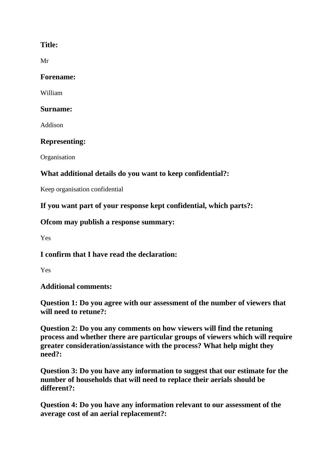## **Title:**

Mr

#### **Forename:**

William

#### **Surname:**

Addison

## **Representing:**

**Organisation** 

# **What additional details do you want to keep confidential?:**

Keep organisation confidential

**If you want part of your response kept confidential, which parts?:**

## **Ofcom may publish a response summary:**

Yes

**I confirm that I have read the declaration:**

Yes

## **Additional comments:**

**Question 1: Do you agree with our assessment of the number of viewers that will need to retune?:**

**Question 2: Do you any comments on how viewers will find the retuning process and whether there are particular groups of viewers which will require greater consideration/assistance with the process? What help might they need?:**

**Question 3: Do you have any information to suggest that our estimate for the number of households that will need to replace their aerials should be different?:**

**Question 4: Do you have any information relevant to our assessment of the average cost of an aerial replacement?:**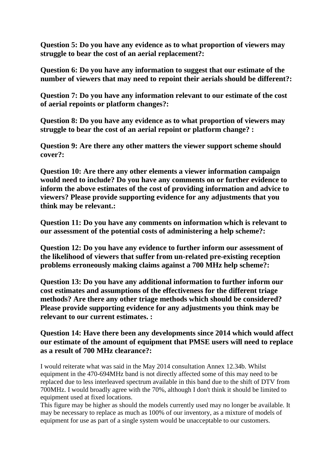**Question 5: Do you have any evidence as to what proportion of viewers may struggle to bear the cost of an aerial replacement?:**

**Question 6: Do you have any information to suggest that our estimate of the number of viewers that may need to repoint their aerials should be different?:**

**Question 7: Do you have any information relevant to our estimate of the cost of aerial repoints or platform changes?:**

**Question 8: Do you have any evidence as to what proportion of viewers may struggle to bear the cost of an aerial repoint or platform change? :**

**Question 9: Are there any other matters the viewer support scheme should cover?:**

**Question 10: Are there any other elements a viewer information campaign would need to include? Do you have any comments on or further evidence to inform the above estimates of the cost of providing information and advice to viewers? Please provide supporting evidence for any adjustments that you think may be relevant.:**

**Question 11: Do you have any comments on information which is relevant to our assessment of the potential costs of administering a help scheme?:**

**Question 12: Do you have any evidence to further inform our assessment of the likelihood of viewers that suffer from un-related pre-existing reception problems erroneously making claims against a 700 MHz help scheme?:**

**Question 13: Do you have any additional information to further inform our cost estimates and assumptions of the effectiveness for the different triage methods? Are there any other triage methods which should be considered? Please provide supporting evidence for any adjustments you think may be relevant to our current estimates. :**

#### **Question 14: Have there been any developments since 2014 which would affect our estimate of the amount of equipment that PMSE users will need to replace as a result of 700 MHz clearance?:**

I would reiterate what was said in the May 2014 consultation Annex 12.34b. Whilst equipment in the 470-694MHz band is not directly affected some of this may need to be replaced due to less interleaved spectrum available in this band due to the shift of DTV from 700MHz. I would broadly agree with the 70%, although I don't think it should be limited to equipment used at fixed locations.

This figure may be higher as should the models currently used may no longer be available. It may be necessary to replace as much as 100% of our inventory, as a mixture of models of equipment for use as part of a single system would be unacceptable to our customers.